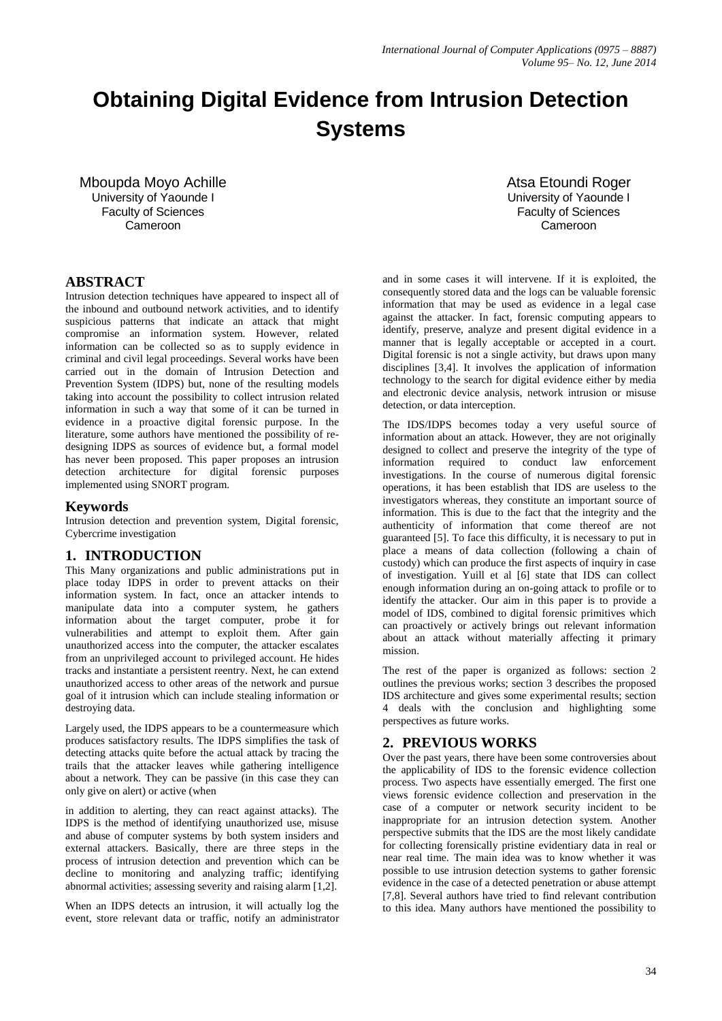# **Obtaining Digital Evidence from Intrusion Detection Systems**

Mboupda Moyo Achille University of Yaounde I Faculty of Sciences Cameroon

#### **ABSTRACT**

Intrusion detection techniques have appeared to inspect all of the inbound and outbound network activities, and to identify suspicious patterns that indicate an attack that might compromise an information system. However, related information can be collected so as to supply evidence in criminal and civil legal proceedings. Several works have been carried out in the domain of Intrusion Detection and Prevention System (IDPS) but, none of the resulting models taking into account the possibility to collect intrusion related information in such a way that some of it can be turned in evidence in a proactive digital forensic purpose. In the literature, some authors have mentioned the possibility of redesigning IDPS as sources of evidence but, a formal model has never been proposed. This paper proposes an intrusion detection architecture for digital forensic purposes implemented using SNORT program.

#### **Keywords**

Intrusion detection and prevention system, Digital forensic, Cybercrime investigation

## **1. INTRODUCTION**

This Many organizations and public administrations put in place today IDPS in order to prevent attacks on their information system. In fact, once an attacker intends to manipulate data into a computer system, he gathers information about the target computer, probe it for vulnerabilities and attempt to exploit them. After gain unauthorized access into the computer, the attacker escalates from an unprivileged account to privileged account. He hides tracks and instantiate a persistent reentry. Next, he can extend unauthorized access to other areas of the network and pursue goal of it intrusion which can include stealing information or destroying data.

Largely used, the IDPS appears to be a countermeasure which produces satisfactory results. The IDPS simplifies the task of detecting attacks quite before the actual attack by tracing the trails that the attacker leaves while gathering intelligence about a network. They can be passive (in this case they can only give on alert) or active (when

in addition to alerting, they can react against attacks). The IDPS is the method of identifying unauthorized use, misuse and abuse of computer systems by both system insiders and external attackers. Basically, there are three steps in the process of intrusion detection and prevention which can be decline to monitoring and analyzing traffic; identifying abnormal activities; assessing severity and raising alarm [1,2].

When an IDPS detects an intrusion, it will actually log the event, store relevant data or traffic, notify an administrator Atsa Etoundi Roger University of Yaounde I Faculty of Sciences Cameroon

and in some cases it will intervene. If it is exploited, the consequently stored data and the logs can be valuable forensic information that may be used as evidence in a legal case against the attacker. In fact, forensic computing appears to identify, preserve, analyze and present digital evidence in a manner that is legally acceptable or accepted in a court. Digital forensic is not a single activity, but draws upon many disciplines [3,4]. It involves the application of information technology to the search for digital evidence either by media and electronic device analysis, network intrusion or misuse detection, or data interception.

The IDS/IDPS becomes today a very useful source of information about an attack. However, they are not originally designed to collect and preserve the integrity of the type of information required to conduct law enforcement investigations. In the course of numerous digital forensic operations, it has been establish that IDS are useless to the investigators whereas, they constitute an important source of information. This is due to the fact that the integrity and the authenticity of information that come thereof are not guaranteed [5]. To face this difficulty, it is necessary to put in place a means of data collection (following a chain of custody) which can produce the first aspects of inquiry in case of investigation. Yuill et al [6] state that IDS can collect enough information during an on-going attack to profile or to identify the attacker. Our aim in this paper is to provide a model of IDS, combined to digital forensic primitives which can proactively or actively brings out relevant information about an attack without materially affecting it primary mission.

The rest of the paper is organized as follows: section 2 outlines the previous works; section 3 describes the proposed IDS architecture and gives some experimental results; section 4 deals with the conclusion and highlighting some perspectives as future works.

## **2. PREVIOUS WORKS**

Over the past years, there have been some controversies about the applicability of IDS to the forensic evidence collection process. Two aspects have essentially emerged. The first one views forensic evidence collection and preservation in the case of a computer or network security incident to be inappropriate for an intrusion detection system. Another perspective submits that the IDS are the most likely candidate for collecting forensically pristine evidentiary data in real or near real time. The main idea was to know whether it was possible to use intrusion detection systems to gather forensic evidence in the case of a detected penetration or abuse attempt [7,8]. Several authors have tried to find relevant contribution to this idea. Many authors have mentioned the possibility to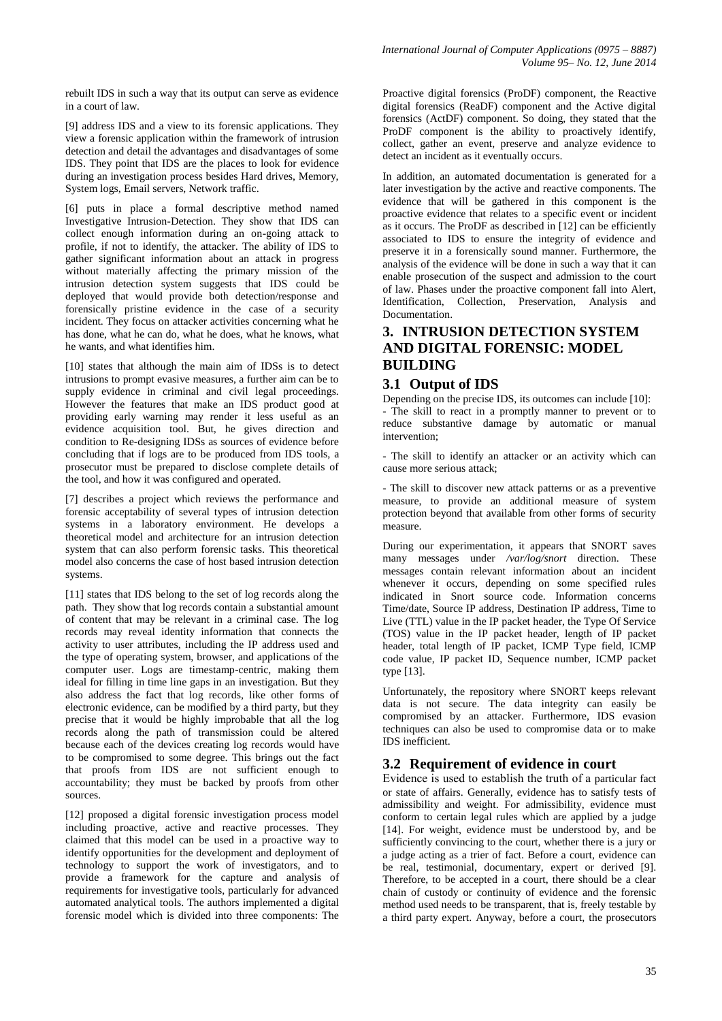rebuilt IDS in such a way that its output can serve as evidence in a court of law.

[9] address IDS and a view to its forensic applications. They view a forensic application within the framework of intrusion detection and detail the advantages and disadvantages of some IDS. They point that IDS are the places to look for evidence during an investigation process besides Hard drives, Memory, System logs, Email servers, Network traffic.

[6] puts in place a formal descriptive method named Investigative Intrusion-Detection. They show that IDS can collect enough information during an on-going attack to profile, if not to identify, the attacker. The ability of IDS to gather significant information about an attack in progress without materially affecting the primary mission of the intrusion detection system suggests that IDS could be deployed that would provide both detection/response and forensically pristine evidence in the case of a security incident. They focus on attacker activities concerning what he has done, what he can do, what he does, what he knows, what he wants, and what identifies him.

[10] states that although the main aim of IDSs is to detect intrusions to prompt evasive measures, a further aim can be to supply evidence in criminal and civil legal proceedings. However the features that make an IDS product good at providing early warning may render it less useful as an evidence acquisition tool. But, he gives direction and condition to Re-designing IDSs as sources of evidence before concluding that if logs are to be produced from IDS tools, a prosecutor must be prepared to disclose complete details of the tool, and how it was configured and operated.

[7] describes a project which reviews the performance and forensic acceptability of several types of intrusion detection systems in a laboratory environment. He develops a theoretical model and architecture for an intrusion detection system that can also perform forensic tasks. This theoretical model also concerns the case of host based intrusion detection systems.

[11] states that IDS belong to the set of log records along the path. They show that log records contain a substantial amount of content that may be relevant in a criminal case. The log records may reveal identity information that connects the activity to user attributes, including the IP address used and the type of operating system, browser, and applications of the computer user. Logs are timestamp-centric, making them ideal for filling in time line gaps in an investigation. But they also address the fact that log records, like other forms of electronic evidence, can be modified by a third party, but they precise that it would be highly improbable that all the log records along the path of transmission could be altered because each of the devices creating log records would have to be compromised to some degree. This brings out the fact that proofs from IDS are not sufficient enough to accountability; they must be backed by proofs from other sources.

[12] proposed a digital forensic investigation process model including proactive, active and reactive processes. They claimed that this model can be used in a proactive way to identify opportunities for the development and deployment of technology to support the work of investigators, and to provide a framework for the capture and analysis of requirements for investigative tools, particularly for advanced automated analytical tools. The authors implemented a digital forensic model which is divided into three components: The

Proactive digital forensics (ProDF) component, the Reactive digital forensics (ReaDF) component and the Active digital forensics (ActDF) component. So doing, they stated that the ProDF component is the ability to proactively identify, collect, gather an event, preserve and analyze evidence to detect an incident as it eventually occurs.

In addition, an automated documentation is generated for a later investigation by the active and reactive components. The evidence that will be gathered in this component is the proactive evidence that relates to a specific event or incident as it occurs. The ProDF as described in [12] can be efficiently associated to IDS to ensure the integrity of evidence and preserve it in a forensically sound manner. Furthermore, the analysis of the evidence will be done in such a way that it can enable prosecution of the suspect and admission to the court of law. Phases under the proactive component fall into Alert, Identification, Collection, Preservation, Analysis and Documentation.

## **3. INTRUSION DETECTION SYSTEM AND DIGITAL FORENSIC: MODEL BUILDING**

## **3.1 Output of IDS**

Depending on the precise IDS, its outcomes can include [10]: - The skill to react in a promptly manner to prevent or to reduce substantive damage by automatic or manual intervention;

- The skill to identify an attacker or an activity which can cause more serious attack;

- The skill to discover new attack patterns or as a preventive measure, to provide an additional measure of system protection beyond that available from other forms of security measure.

During our experimentation, it appears that SNORT saves many messages under */var/log/snort* direction. These messages contain relevant information about an incident whenever it occurs, depending on some specified rules indicated in Snort source code. Information concerns Time/date, Source IP address, Destination IP address, Time to Live (TTL) value in the IP packet header, the Type Of Service (TOS) value in the IP packet header, length of IP packet header, total length of IP packet, ICMP Type field, ICMP code value, IP packet ID, Sequence number, ICMP packet type [13].

Unfortunately, the repository where SNORT keeps relevant data is not secure. The data integrity can easily be compromised by an attacker. Furthermore, IDS evasion techniques can also be used to compromise data or to make IDS inefficient.

## **3.2 Requirement of evidence in court**

Evidence is used to establish the truth of a particular fact or state of affairs. Generally, evidence has to satisfy tests of admissibility and weight. For admissibility, evidence must conform to certain legal rules which are applied by a judge [14]. For weight, evidence must be understood by, and be sufficiently convincing to the court, whether there is a jury or a judge acting as a trier of fact. Before a court, evidence can be real, testimonial, documentary, expert or derived [9]. Therefore, to be accepted in a court, there should be a clear chain of custody or continuity of evidence and the forensic method used needs to be transparent, that is, freely testable by a third party expert. Anyway, before a court, the prosecutors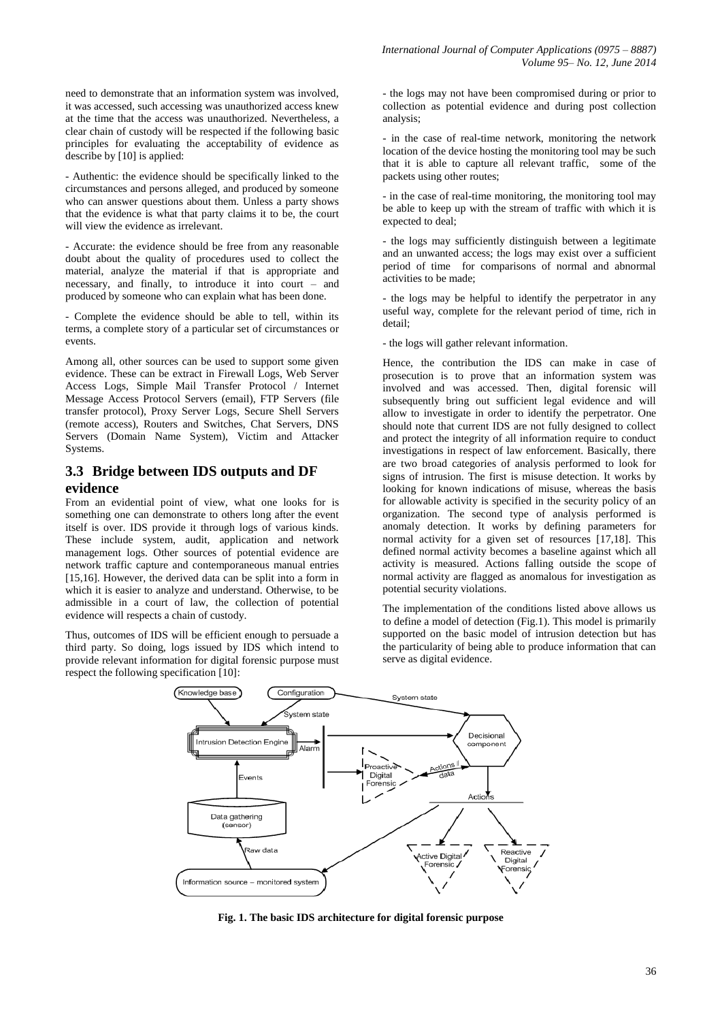need to demonstrate that an information system was involved, it was accessed, such accessing was unauthorized access knew at the time that the access was unauthorized. Nevertheless, a clear chain of custody will be respected if the following basic principles for evaluating the acceptability of evidence as describe by [10] is applied:

- Authentic: the evidence should be specifically linked to the circumstances and persons alleged, and produced by someone who can answer questions about them. Unless a party shows that the evidence is what that party claims it to be, the court will view the evidence as irrelevant.

- Accurate: the evidence should be free from any reasonable doubt about the quality of procedures used to collect the material, analyze the material if that is appropriate and necessary, and finally, to introduce it into court – and produced by someone who can explain what has been done.

- Complete the evidence should be able to tell, within its terms, a complete story of a particular set of circumstances or events.

Among all, other sources can be used to support some given evidence. These can be extract in Firewall Logs, Web Server Access Logs, Simple Mail Transfer Protocol / Internet Message Access Protocol Servers (email), FTP Servers (file transfer protocol), Proxy Server Logs, Secure Shell Servers (remote access), Routers and Switches, Chat Servers, DNS Servers (Domain Name System), Victim and Attacker Systems.

## **3.3 Bridge between IDS outputs and DF evidence**

From an evidential point of view, what one looks for is something one can demonstrate to others long after the event itself is over. IDS provide it through logs of various kinds. These include system, audit, application and network management logs. Other sources of potential evidence are network traffic capture and contemporaneous manual entries [15,16]. However, the derived data can be split into a form in which it is easier to analyze and understand. Otherwise, to be admissible in a court of law, the collection of potential evidence will respects a chain of custody.

Thus, outcomes of IDS will be efficient enough to persuade a third party. So doing, logs issued by IDS which intend to provide relevant information for digital forensic purpose must respect the following specification [10]:

- the logs may not have been compromised during or prior to collection as potential evidence and during post collection analysis;

- in the case of real-time network, monitoring the network location of the device hosting the monitoring tool may be such that it is able to capture all relevant traffic, some of the packets using other routes;

- in the case of real-time monitoring, the monitoring tool may be able to keep up with the stream of traffic with which it is expected to deal;

- the logs may sufficiently distinguish between a legitimate and an unwanted access; the logs may exist over a sufficient period of time for comparisons of normal and abnormal activities to be made;

- the logs may be helpful to identify the perpetrator in any useful way, complete for the relevant period of time, rich in detail;

- the logs will gather relevant information.

Hence, the contribution the IDS can make in case of prosecution is to prove that an information system was involved and was accessed. Then, digital forensic will subsequently bring out sufficient legal evidence and will allow to investigate in order to identify the perpetrator. One should note that current IDS are not fully designed to collect and protect the integrity of all information require to conduct investigations in respect of law enforcement. Basically, there are two broad categories of analysis performed to look for signs of intrusion. The first is misuse detection. It works by looking for known indications of misuse, whereas the basis for allowable activity is specified in the security policy of an organization. The second type of analysis performed is anomaly detection. It works by defining parameters for normal activity for a given set of resources [17,18]. This defined normal activity becomes a baseline against which all activity is measured. Actions falling outside the scope of normal activity are flagged as anomalous for investigation as potential security violations.

The implementation of the conditions listed above allows us to define a model of detection (Fig.1). This model is primarily supported on the basic model of intrusion detection but has the particularity of being able to produce information that can serve as digital evidence.



**Fig. 1. The basic IDS architecture for digital forensic purpose**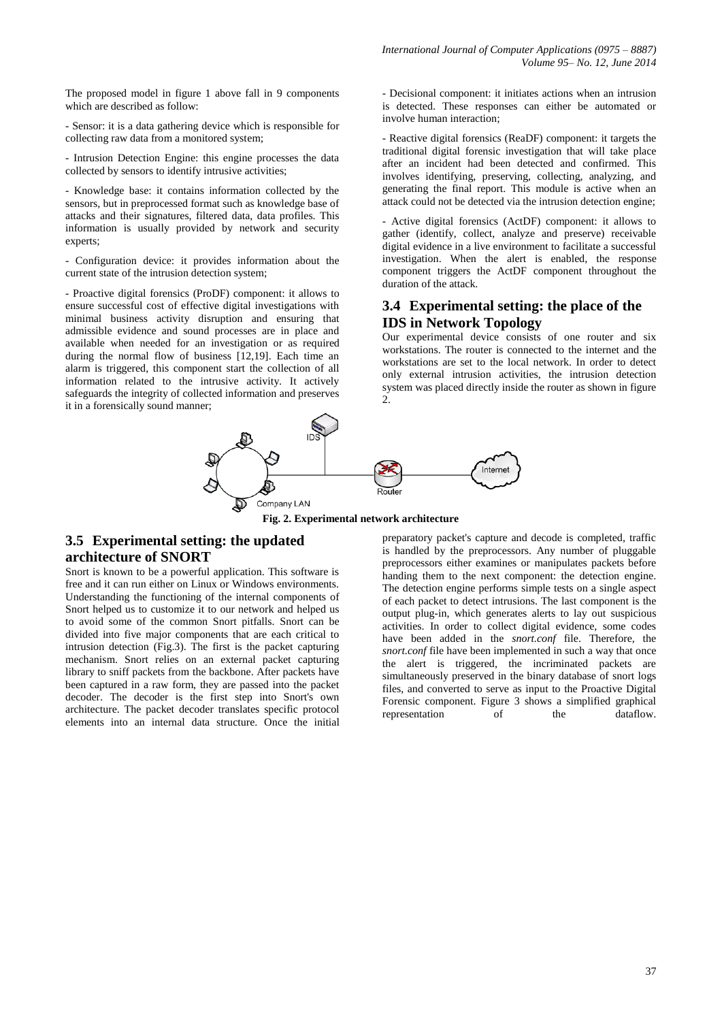The proposed model in figure 1 above fall in 9 components which are described as follow:

- Sensor: it is a data gathering device which is responsible for collecting raw data from a monitored system;

- Intrusion Detection Engine: this engine processes the data collected by sensors to identify intrusive activities;

- Knowledge base: it contains information collected by the sensors, but in preprocessed format such as knowledge base of attacks and their signatures, filtered data, data profiles. This information is usually provided by network and security experts;

- Configuration device: it provides information about the current state of the intrusion detection system;

- Proactive digital forensics (ProDF) component: it allows to ensure successful cost of effective digital investigations with minimal business activity disruption and ensuring that admissible evidence and sound processes are in place and available when needed for an investigation or as required during the normal flow of business [12,19]. Each time an alarm is triggered, this component start the collection of all information related to the intrusive activity. It actively safeguards the integrity of collected information and preserves it in a forensically sound manner;

- Decisional component: it initiates actions when an intrusion is detected. These responses can either be automated or involve human interaction;

- Reactive digital forensics (ReaDF) component: it targets the traditional digital forensic investigation that will take place after an incident had been detected and confirmed. This involves identifying, preserving, collecting, analyzing, and generating the final report. This module is active when an attack could not be detected via the intrusion detection engine;

- Active digital forensics (ActDF) component: it allows to gather (identify, collect, analyze and preserve) receivable digital evidence in a live environment to facilitate a successful investigation. When the alert is enabled, the response component triggers the ActDF component throughout the duration of the attack.

## **3.4 Experimental setting: the place of the IDS in Network Topology**

Our experimental device consists of one router and six workstations. The router is connected to the internet and the workstations are set to the local network. In order to detect only external intrusion activities, the intrusion detection system was placed directly inside the router as shown in figure  $\mathcal{D}_{\alpha}$ 



**Fig. 2. Experimental network architecture**

## **3.5 Experimental setting: the updated architecture of SNORT**

Snort is known to be a powerful application. This software is free and it can run either on Linux or Windows environments. Understanding the functioning of the internal components of Snort helped us to customize it to our network and helped us to avoid some of the common Snort pitfalls. Snort can be divided into five major components that are each critical to intrusion detection (Fig.3). The first is the packet capturing mechanism. Snort relies on an external packet capturing library to sniff packets from the backbone. After packets have been captured in a raw form, they are passed into the packet decoder. The decoder is the first step into Snort's own architecture. The packet decoder translates specific protocol elements into an internal data structure. Once the initial

preparatory packet's capture and decode is completed, traffic is handled by the preprocessors. Any number of pluggable preprocessors either examines or manipulates packets before handing them to the next component: the detection engine. The detection engine performs simple tests on a single aspect of each packet to detect intrusions. The last component is the output plug-in, which generates alerts to lay out suspicious activities. In order to collect digital evidence, some codes have been added in the *snort.conf* file. Therefore, the *snort.conf* file have been implemented in such a way that once the alert is triggered, the incriminated packets are simultaneously preserved in the binary database of snort logs files, and converted to serve as input to the Proactive Digital Forensic component. Figure 3 shows a simplified graphical representation of the dataflow.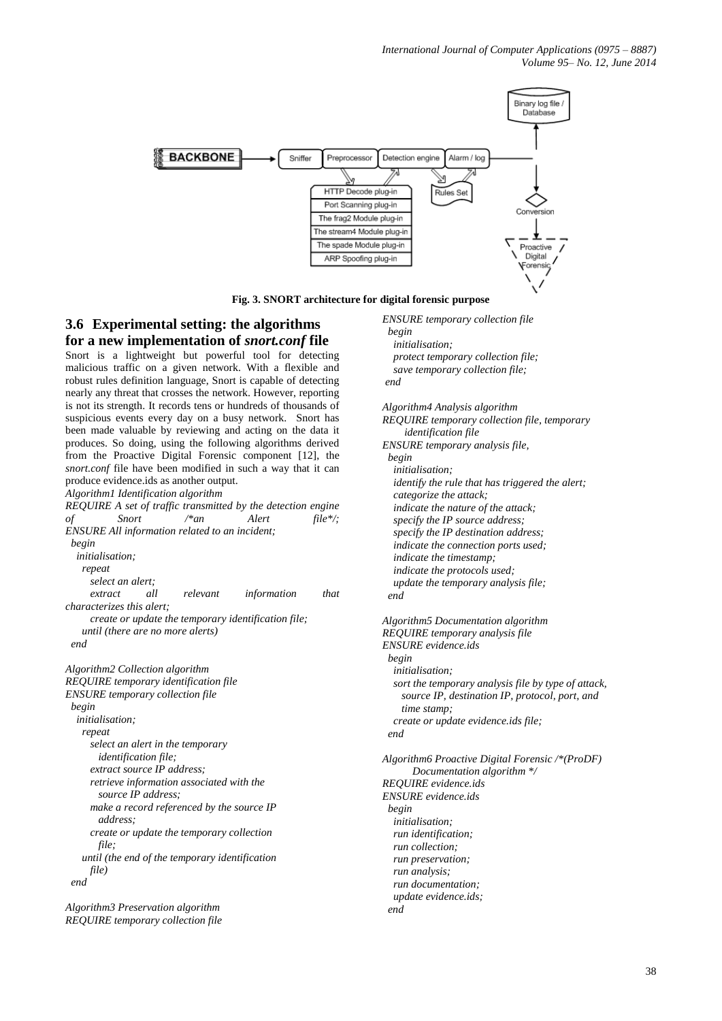*International Journal of Computer Applications (0975 – 8887) Volume 95– No. 12, June 2014*



#### **Fig. 3. SNORT architecture for digital forensic purpose**

## **3.6 Experimental setting: the algorithms for a new implementation of** *snort.conf* **file**

Snort is a lightweight but powerful tool for detecting malicious traffic on a given network. With a flexible and robust rules definition language, Snort is capable of detecting nearly any threat that crosses the network. However, reporting is not its strength. It records tens or hundreds of thousands of suspicious events every day on a busy network. Snort has been made valuable by reviewing and acting on the data it produces. So doing, using the following algorithms derived from the Proactive Digital Forensic component [12], the *snort.conf* file have been modified in such a way that it can produce evidence.ids as another output.

*Algorithm1 Identification algorithm* 

*REQUIRE A set of traffic transmitted by the detection engine of Snort /\*an Alert file\*/; ENSURE All information related to an incident; begin initialisation; repeat select an alert; extract all relevant information that characterizes this alert; create or update the temporary identification file; until (there are no more alerts) end Algorithm2 Collection algorithm REQUIRE temporary identification file ENSURE temporary collection file begin initialisation; repeat select an alert in the temporary identification file; extract source IP address; retrieve information associated with the source IP address; make a record referenced by the source IP address; create or update the temporary collection file; until (the end of the temporary identification file) end*

*Algorithm3 Preservation algorithm REQUIRE temporary collection file* *ENSURE temporary collection file begin* 

 *initialisation; protect temporary collection file; save temporary collection file; end*

*Algorithm4 Analysis algorithm REQUIRE temporary collection file, temporary identification file ENSURE temporary analysis file, begin initialisation; identify the rule that has triggered the alert; categorize the attack; indicate the nature of the attack; specify the IP source address; specify the IP destination address; indicate the connection ports used; indicate the timestamp; indicate the protocols used; update the temporary analysis file; end*

*Algorithm5 Documentation algorithm REQUIRE temporary analysis file ENSURE evidence.ids begin initialisation; sort the temporary analysis file by type of attack, source IP, destination IP, protocol, port, and time stamp; create or update evidence.ids file; end Algorithm6 Proactive Digital Forensic /\*(ProDF)*

 *Documentation algorithm \*/ REQUIRE evidence.ids ENSURE evidence.ids begin initialisation; run identification; run collection; run preservation; run analysis; run documentation; update evidence.ids; end*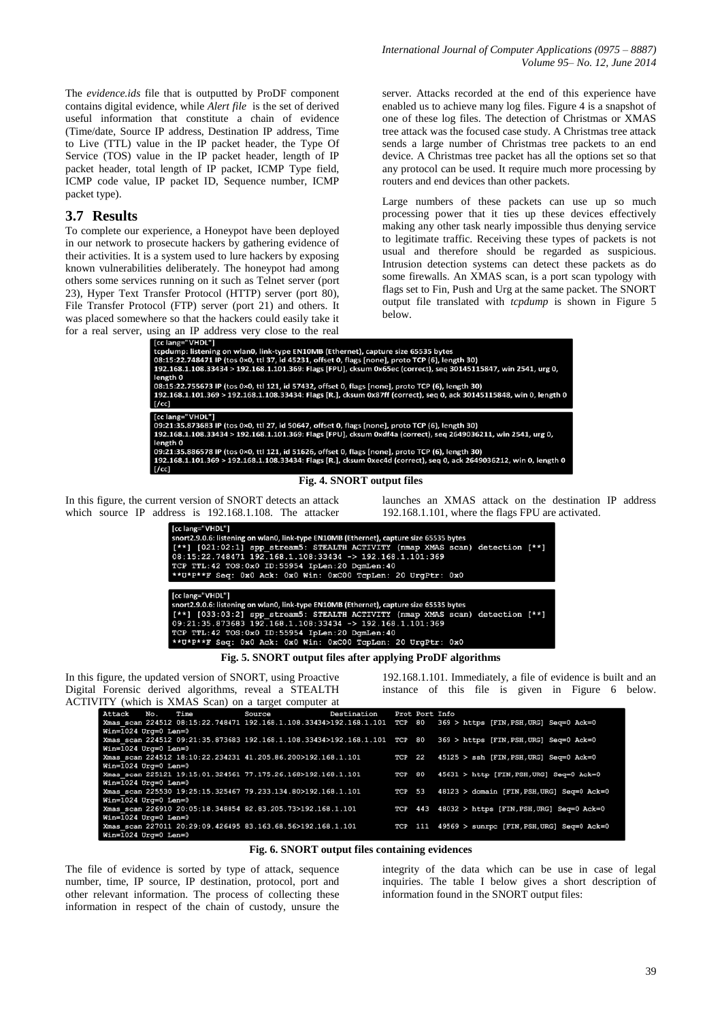The *evidence.ids* file that is outputted by ProDF component contains digital evidence, while *Alert file* is the set of derived useful information that constitute a chain of evidence (Time/date, Source IP address, Destination IP address, Time to Live (TTL) value in the IP packet header, the Type Of Service (TOS) value in the IP packet header, length of IP packet header, total length of IP packet, ICMP Type field, ICMP code value, IP packet ID, Sequence number, ICMP packet type).

#### **3.7 Results**

To complete our experience, a Honeypot have been deployed in our network to prosecute hackers by gathering evidence of their activities. It is a system used to lure hackers by exposing known vulnerabilities deliberately. The honeypot had among others some services running on it such as Telnet server (port 23), Hyper Text Transfer Protocol (HTTP) server (port 80), File Transfer Protocol (FTP) server (port 21) and others. It was placed somewhere so that the hackers could easily take it for  $a$  real server.

server. Attacks recorded at the end of this experience have enabled us to achieve many log files. Figure 4 is a snapshot of one of these log files. The detection of Christmas or XMAS tree attack was the focused case study. A Christmas tree attack sends a large number of Christmas tree packets to an end device. A Christmas tree packet has all the options set so that any protocol can be used. It require much more processing by routers and end devices than other packets.

Large numbers of these packets can use up so much processing power that it ties up these devices effectively making any other task nearly impossible thus denying service to legitimate traffic. Receiving these types of packets is not usual and therefore should be regarded as suspicious. Intrusion detection systems can detect these packets as do some firewalls. An XMAS scan, is a port scan typology with flags set to Fin, Push and Urg at the same packet. The SNORT output file translated with *tcpdump* is shown in Figure 5 below.

| using an IP address very close to the real                                                                           |
|----------------------------------------------------------------------------------------------------------------------|
| [ [cc lang="VHDL"]                                                                                                   |
| tcpdump: listening on wlan0, link-type EN10MB (Ethernet), capture size 65535 bytes                                   |
| 08:15:22.748471 IP (tos 0×0, ttl 37, id 45231, offset 0, flags [none], proto TCP (6), length 30)                     |
| 192.168.1.108.33434 > 192.168.1.101.369: Flags [FPU], cksum 0x65ec (correct), seg 30145115847, win 2541, urg 0,      |
| length 0                                                                                                             |
| 08:15:22.755673 IP (tos 0×0, ttl 121, id 57432, offset 0, flags [none], proto TCP (6), length 30)                    |
| 192.168.1.101.369 > 192.168.1.108.33434: Flags [R.], cksum 0x87ff (correct), seg 0, ack 30145115848, win 0, length 0 |
| [/cc]                                                                                                                |
| [cc lang="VHDL"]                                                                                                     |
| 09:21:35.873683 IP (tos 0×0, ttl 27, id 50647, offset 0, flags [none], proto TCP (6), length 30)                     |
| 192.168.1.108.33434 > 192.168.1.101.369: Flags [FPU], cksum 0xdf4a (correct), seg 2649036211, win 2541, urg 0,       |
| length 0                                                                                                             |
| 09:21:35.886578 IP (tos 0×0, ttl 121, id 51626, offset 0, flags [none], proto TCP (6), length 30                     |
| 192.168.1.101.369 > 192.168.1.108.33434: Flags [R.], cksum 0xec4d (correct), seg 0, ack 2649036212, win 0, length 0  |
| $ $ [/cc]                                                                                                            |

#### **Fig. 4. SNORT output files**

In this figure, the current version of SNORT detects an attack which source IP address is 192.168.1.108. The attacker launches an XMAS attack on the destination IP address 192.168.1.101, where the flags FPU are activated.

| [cc lang="VHDL"]                                                                        |
|-----------------------------------------------------------------------------------------|
| snort2.9.0.6: listening on wlan0, link-type EN10MB (Ethernet), capture size 65535 bytes |
| [**] [021:02:1] spp stream5: STEALTH ACTIVITY (nmap XMAS scan) detection [**]           |
| $08:15:22.748471$ 192.168.1.108:33434 -> 192.168.1.101:369                              |
| TCP TTL:42 TOS:0x0 ID:55954 IpLen:20 DqmLen:40                                          |
| **U*P**F Seq: 0x0 Ack: 0x0 Win: 0xC00 TcpLen: 20 UrgPtr: 0x0                            |
|                                                                                         |
| [cc lang="VHDL"]                                                                        |
|                                                                                         |
| snort2.9.0.6: listening on wlan0, link-type EN10MB (Ethernet), capture size 65535 bytes |
| [**] [033:03:2] spp stream5: STEALTH ACTIVITY (nmap XMAS scan) detection [**]           |
| $09:21:35.873683$ 192.168.1.108:33434 -> 192.168.1.101:369                              |
| TCP TTL:42 TOS:0x0 ID:55954 IpLen:20 DgmLen:40                                          |

**Fig. 5. SNORT output files after applying ProDF algorithms**

In this figure, the updated version of SNORT, using Proactive Digital Forensic derived algorithms, reveal a STEALTH ACTIVITY (which is XMAS Scan) on a target computer at

192.168.1.101. Immediately, a file of evidence is built and an instance of this file is given in Figure 6 below.

| 11 I (willet is <i>Trian to bean)</i> on a target compater at |             |        |                                                                                                                   |
|---------------------------------------------------------------|-------------|--------|-------------------------------------------------------------------------------------------------------------------|
| Attack No. Time Source                                        | Destination |        | Prot Port Info                                                                                                    |
|                                                               |             |        | Xmas scan 224512 08:15:22.748471 192.168.1.108.33434>192.168.1.101 TCP 80 369 > https [FIN,PSH,URG] Seq=0 Ack=0   |
| Win=1024 Urg=0 Len=0                                          |             |        |                                                                                                                   |
|                                                               |             |        | Xmas scan 224512 09:21:35.873683 192.168.1.108.33434>192.168.1.101 TCP 80 369 > https [FIN, PSH, URG] Seq=0 Ack=0 |
| Win=1024 Urg=0 Len=0                                          |             |        |                                                                                                                   |
| Xmas scan 224512 18:10:22.234231 41.205.86.200>192.168.1.101  |             | TCP 22 | $45125 > sh$ [FIN, PSH, URG] Seq=0 Ack=0                                                                          |
| Win=1024 Urg=0 Len=0                                          |             |        |                                                                                                                   |
| Xmas scan 225121 19:15:01.324561 77.175.26.168>192.168.1.101  |             | TCP 80 | 45631 > http [FIN, PSH, URG] Seq=0 Ack=0                                                                          |
| Win=1024 Urg=0 Len=0                                          |             |        |                                                                                                                   |
| Xmas scan 225530 19:25:15.325467 79.233.134.80>192.168.1.101  |             | TCP 53 | 48123 > domain [FIN, PSH, URG] Seq=0 Ack=0                                                                        |
| Win=1024 Urg=0 Len=0                                          |             |        |                                                                                                                   |
| Xmas scan 226910 20:05:18.348854 82.83.205.73>192.168.1.101   |             |        | TCP 443 48032 > https [FIN, PSH, URG] Seq=0 Ack=0                                                                 |
| Win=1024 Urg=0 Len=0                                          |             |        |                                                                                                                   |
| Xmas scan 227011 20:29:09.426495 83.163.68.56>192.168.1.101   |             |        | TCP 111 49569 > sunrpc [FIN, PSH, URG] Seq=0 Ack=0                                                                |
| Win=1024 Urg=0 Len=0                                          |             |        |                                                                                                                   |

**Fig. 6. SNORT output files containing evidences**

The file of evidence is sorted by type of attack, sequence number, time, IP source, IP destination, protocol, port and other relevant information. The process of collecting these information in respect of the chain of custody, unsure the

integrity of the data which can be use in case of legal inquiries. The table I below gives a short description of information found in the SNORT output files: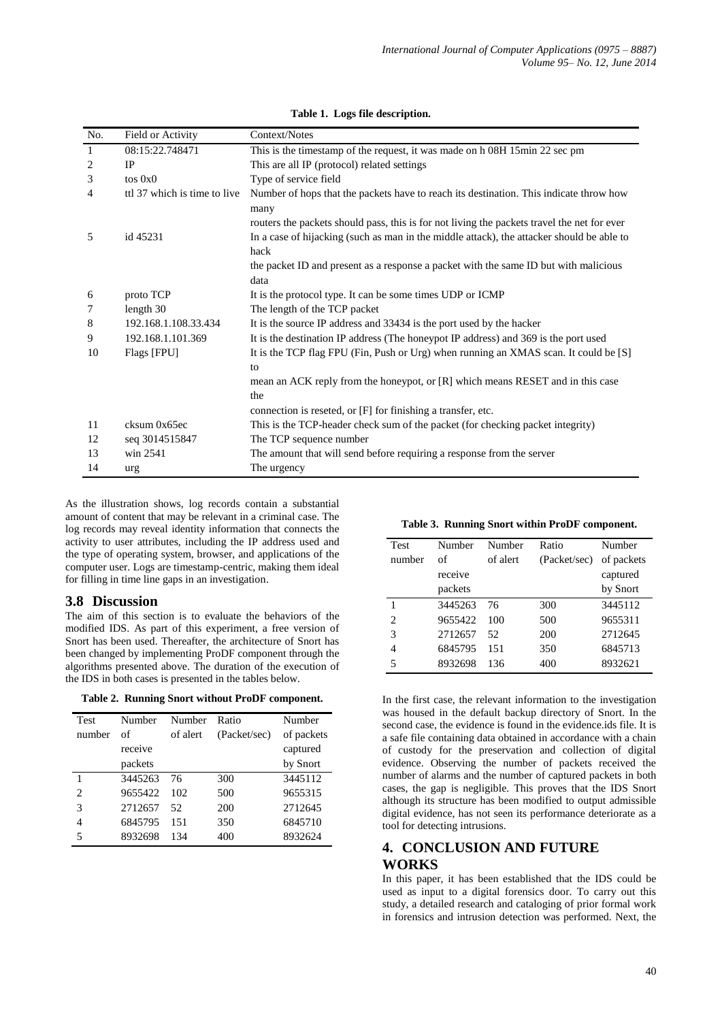| No.            | Field or Activity            | Context/Notes                                                                               |
|----------------|------------------------------|---------------------------------------------------------------------------------------------|
| $\mathbf{1}$   | 08:15:22.748471              | This is the timestamp of the request, it was made on h 08H 15min 22 sec pm                  |
| 2              | <b>IP</b>                    | This are all IP (protocol) related settings                                                 |
| 3              | $\cos 0x0$                   | Type of service field                                                                       |
| $\overline{4}$ | ttl 37 which is time to live | Number of hops that the packets have to reach its destination. This indicate throw how      |
|                |                              | many                                                                                        |
|                |                              | routers the packets should pass, this is for not living the packets travel the net for ever |
| 5<br>id 45231  |                              | In a case of hijacking (such as man in the middle attack), the attacker should be able to   |
|                |                              | hack                                                                                        |
|                |                              | the packet ID and present as a response a packet with the same ID but with malicious        |
|                |                              | data                                                                                        |
| 6              | proto TCP                    | It is the protocol type. It can be some times UDP or ICMP                                   |
| 7              | length 30                    | The length of the TCP packet                                                                |
| 8              | 192.168.1.108.33.434         | It is the source IP address and 33434 is the port used by the hacker                        |
| 9              | 192.168.1.101.369            | It is the destination IP address (The honeypot IP address) and 369 is the port used         |
| 10             | Flags [FPU]                  | It is the TCP flag FPU (Fin, Push or Urg) when running an XMAS scan. It could be [S]        |
|                |                              | to                                                                                          |
|                |                              | mean an ACK reply from the honeypot, or [R] which means RESET and in this case              |
|                |                              | the                                                                                         |
|                |                              | connection is reseted, or [F] for finishing a transfer, etc.                                |
| 11             | cksum 0x65ec                 | This is the TCP-header check sum of the packet (for checking packet integrity)              |
| 12             | seq 3014515847               | The TCP sequence number                                                                     |
| 13             | win 2541                     | The amount that will send before requiring a response from the server                       |
| 14             | urg                          | The urgency                                                                                 |

#### **Table 1. Logs file description.**

As the illustration shows, log records contain a substantial amount of content that may be relevant in a criminal case. The log records may reveal identity information that connects the activity to user attributes, including the IP address used and the type of operating system, browser, and applications of the computer user. Logs are timestamp-centric, making them ideal for filling in time line gaps in an investigation.

#### **3.8 Discussion**

The aim of this section is to evaluate the behaviors of the modified IDS. As part of this experiment, a free version of Snort has been used. Thereafter, the architecture of Snort has been changed by implementing ProDF component through the algorithms presented above. The duration of the execution of the IDS in both cases is presented in the tables below.

| Table 2. Running Snort without ProDF component. |  |  |  |  |  |  |
|-------------------------------------------------|--|--|--|--|--|--|
|-------------------------------------------------|--|--|--|--|--|--|

| <b>Test</b> | Number  | Number   | Ratio        | Number     |
|-------------|---------|----------|--------------|------------|
| number      | οf      | of alert | (Packet/sec) | of packets |
|             | receive |          |              | captured   |
|             | packets |          |              | by Snort   |
| 1           | 3445263 | 76       | 300          | 3445112    |
| 2           | 9655422 | 102      | 500          | 9655315    |
| 3           | 2712657 | 52       | 200          | 2712645    |
| 4           | 6845795 | 151      | 350          | 6845710    |
| 5           | 8932698 | 134      | 400          | 8932624    |

| Test           | Number  | Number   | Ratio        | Number     |
|----------------|---------|----------|--------------|------------|
| number         | of      | of alert | (Packet/sec) | of packets |
|                | receive |          |              | captured   |
|                | packets |          |              | by Snort   |
|                | 3445263 | 76       | 300          | 3445112    |
| $\overline{c}$ | 9655422 | 100      | 500          | 9655311    |
| 3              | 2712657 | 52       | 200          | 2712645    |
| 4              | 6845795 | 151      | 350          | 6845713    |
| 5              | 8932698 | 136      | 400          | 8932621    |

In the first case, the relevant information to the investigation was housed in the default backup directory of Snort. In the second case, the evidence is found in the evidence.ids file. It is a safe file containing data obtained in accordance with a chain of custody for the preservation and collection of digital evidence. Observing the number of packets received the number of alarms and the number of captured packets in both cases, the gap is negligible. This proves that the IDS Snort although its structure has been modified to output admissible digital evidence, has not seen its performance deteriorate as a tool for detecting intrusions.

## **4. CONCLUSION AND FUTURE WORKS**

In this paper, it has been established that the IDS could be used as input to a digital forensics door. To carry out this study, a detailed research and cataloging of prior formal work in forensics and intrusion detection was performed. Next, the

**Table 3. Running Snort within ProDF component.**